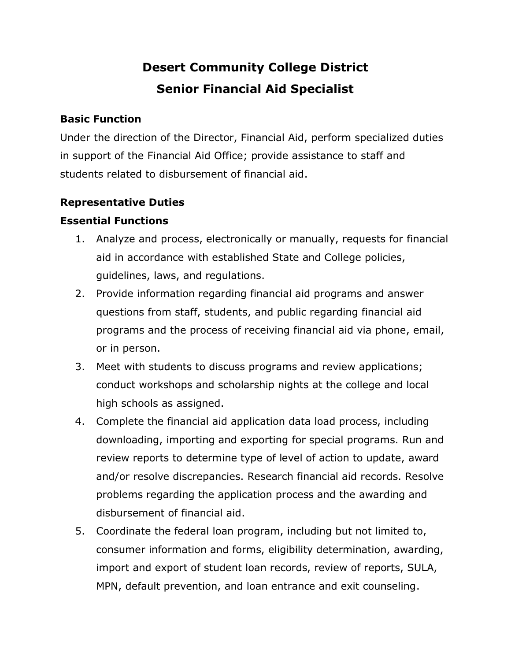# **Desert Community College District Senior Financial Aid Specialist**

## **Basic Function**

Under the direction of the Director, Financial Aid, perform specialized duties in support of the Financial Aid Office; provide assistance to staff and students related to disbursement of financial aid.

# **Representative Duties**

# **Essential Functions**

- 1. Analyze and process, electronically or manually, requests for financial aid in accordance with established State and College policies, guidelines, laws, and regulations.
- 2. Provide information regarding financial aid programs and answer questions from staff, students, and public regarding financial aid programs and the process of receiving financial aid via phone, email, or in person.
- 3. Meet with students to discuss programs and review applications; conduct workshops and scholarship nights at the college and local high schools as assigned.
- 4. Complete the financial aid application data load process, including downloading, importing and exporting for special programs. Run and review reports to determine type of level of action to update, award and/or resolve discrepancies. Research financial aid records. Resolve problems regarding the application process and the awarding and disbursement of financial aid.
- 5. Coordinate the federal loan program, including but not limited to, consumer information and forms, eligibility determination, awarding, import and export of student loan records, review of reports, SULA, MPN, default prevention, and loan entrance and exit counseling.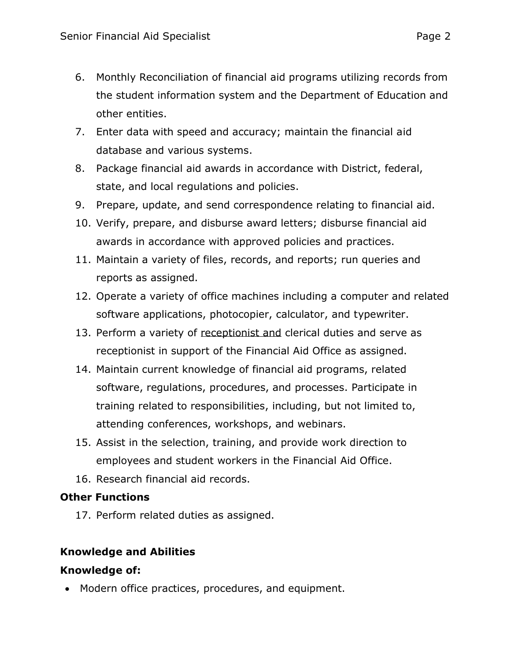- 6. Monthly Reconciliation of financial aid programs utilizing records from the student information system and the Department of Education and other entities.
- 7. Enter data with speed and accuracy; maintain the financial aid database and various systems.
- 8. Package financial aid awards in accordance with District, federal, state, and local regulations and policies.
- 9. Prepare, update, and send correspondence relating to financial aid.
- 10. Verify, prepare, and disburse award letters; disburse financial aid awards in accordance with approved policies and practices.
- 11. Maintain a variety of files, records, and reports; run queries and reports as assigned.
- 12. Operate a variety of office machines including a computer and related software applications, photocopier, calculator, and typewriter.
- 13. Perform a variety of receptionist and clerical duties and serve as receptionist in support of the Financial Aid Office as assigned.
- 14. Maintain current knowledge of financial aid programs, related software, regulations, procedures, and processes. Participate in training related to responsibilities, including, but not limited to, attending conferences, workshops, and webinars.
- 15. Assist in the selection, training, and provide work direction to employees and student workers in the Financial Aid Office.
- 16. Research financial aid records.

## **Other Functions**

17. Perform related duties as assigned.

# **Knowledge and Abilities**

## **Knowledge of:**

• Modern office practices, procedures, and equipment.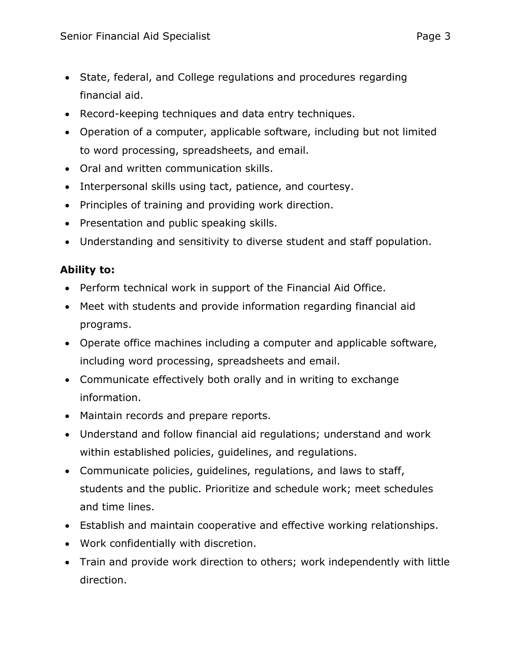- State, federal, and College regulations and procedures regarding financial aid.
- Record-keeping techniques and data entry techniques.
- Operation of a computer, applicable software, including but not limited to word processing, spreadsheets, and email.
- Oral and written communication skills.
- Interpersonal skills using tact, patience, and courtesy.
- Principles of training and providing work direction.
- Presentation and public speaking skills.
- Understanding and sensitivity to diverse student and staff population.

# **Ability to:**

- Perform technical work in support of the Financial Aid Office.
- Meet with students and provide information regarding financial aid programs.
- Operate office machines including a computer and applicable software, including word processing, spreadsheets and email.
- Communicate effectively both orally and in writing to exchange information.
- Maintain records and prepare reports.
- Understand and follow financial aid regulations; understand and work within established policies, guidelines, and regulations.
- Communicate policies, guidelines, regulations, and laws to staff, students and the public. Prioritize and schedule work; meet schedules and time lines.
- Establish and maintain cooperative and effective working relationships.
- Work confidentially with discretion.
- Train and provide work direction to others; work independently with little direction.